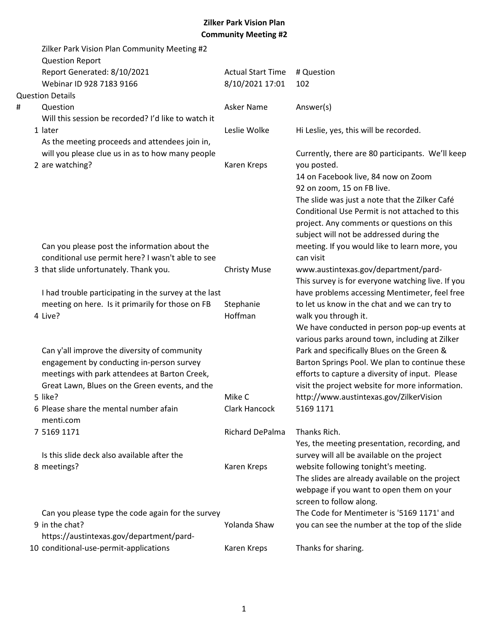|   | Zilker Park Vision Plan Community Meeting #2<br><b>Question Report</b> |                          |                                                   |
|---|------------------------------------------------------------------------|--------------------------|---------------------------------------------------|
|   | Report Generated: 8/10/2021                                            | <b>Actual Start Time</b> | # Question                                        |
|   | Webinar ID 928 7183 9166                                               | 8/10/2021 17:01          | 102                                               |
|   | <b>Question Details</b>                                                |                          |                                                   |
| # | Question                                                               | Asker Name               | Answer(s)                                         |
|   | Will this session be recorded? I'd like to watch it                    |                          |                                                   |
|   | 1 later                                                                | Leslie Wolke             | Hi Leslie, yes, this will be recorded.            |
|   | As the meeting proceeds and attendees join in,                         |                          |                                                   |
|   | will you please clue us in as to how many people                       |                          | Currently, there are 80 participants. We'll keep  |
|   | 2 are watching?                                                        | Karen Kreps              | you posted.                                       |
|   |                                                                        |                          | 14 on Facebook live, 84 now on Zoom               |
|   |                                                                        |                          | 92 on zoom, 15 on FB live.                        |
|   |                                                                        |                          | The slide was just a note that the Zilker Café    |
|   |                                                                        |                          | Conditional Use Permit is not attached to this    |
|   |                                                                        |                          | project. Any comments or questions on this        |
|   |                                                                        |                          | subject will not be addressed during the          |
|   | Can you please post the information about the                          |                          | meeting. If you would like to learn more, you     |
|   | conditional use permit here? I wasn't able to see                      |                          | can visit                                         |
|   | 3 that slide unfortunately. Thank you.                                 | <b>Christy Muse</b>      | www.austintexas.gov/department/pard-              |
|   |                                                                        |                          | This survey is for everyone watching live. If you |
|   | I had trouble participating in the survey at the last                  |                          | have problems accessing Mentimeter, feel free     |
|   | meeting on here. Is it primarily for those on FB                       | Stephanie                | to let us know in the chat and we can try to      |
|   | 4 Live?                                                                | Hoffman                  | walk you through it.                              |
|   |                                                                        |                          | We have conducted in person pop-up events at      |
|   |                                                                        |                          | various parks around town, including at Zilker    |
|   | Can y'all improve the diversity of community                           |                          | Park and specifically Blues on the Green &        |
|   | engagement by conducting in-person survey                              |                          | Barton Springs Pool. We plan to continue these    |
|   | meetings with park attendees at Barton Creek,                          |                          | efforts to capture a diversity of input. Please   |
|   | Great Lawn, Blues on the Green events, and the                         |                          | visit the project website for more information.   |
|   | 5 like?                                                                | Mike C                   | http://www.austintexas.gov/ZilkerVision           |
|   | 6 Please share the mental number afain                                 | <b>Clark Hancock</b>     | 5169 1171                                         |
|   | menti.com                                                              |                          |                                                   |
|   | 7 5169 1171                                                            | Richard DePalma          | Thanks Rich.                                      |
|   |                                                                        |                          | Yes, the meeting presentation, recording, and     |
|   | Is this slide deck also available after the                            |                          | survey will all be available on the project       |
|   | 8 meetings?                                                            | Karen Kreps              | website following tonight's meeting.              |
|   |                                                                        |                          | The slides are already available on the project   |
|   |                                                                        |                          | webpage if you want to open them on your          |
|   |                                                                        |                          | screen to follow along.                           |
|   | Can you please type the code again for the survey                      |                          | The Code for Mentimeter is '5169 1171' and        |
|   | 9 in the chat?                                                         | Yolanda Shaw             | you can see the number at the top of the slide    |
|   | https://austintexas.gov/department/pard-                               |                          |                                                   |
|   | 10 conditional-use-permit-applications                                 | Karen Kreps              | Thanks for sharing.                               |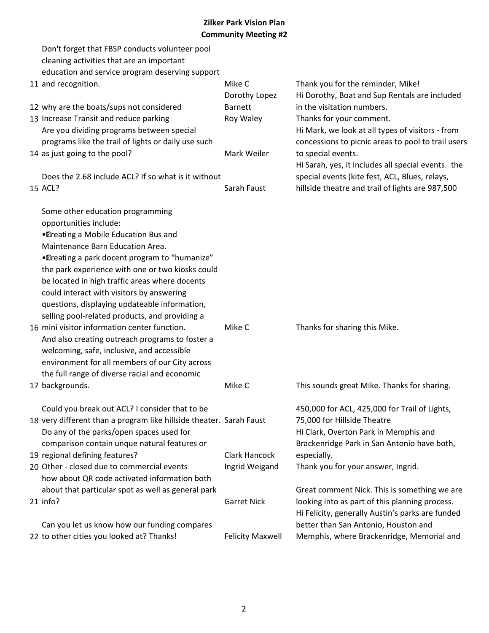| Don't forget that FBSP conducts volunteer pool                      |                         |                                                    |
|---------------------------------------------------------------------|-------------------------|----------------------------------------------------|
| cleaning activities that are an important                           |                         |                                                    |
| education and service program deserving support                     |                         |                                                    |
| 11 and recognition.                                                 | Mike C                  | Thank you for the reminder, Mike!                  |
|                                                                     | Dorothy Lopez           | Hi Dorothy, Boat and Sup Rentals are included      |
| 12 why are the boats/sups not considered                            | <b>Barnett</b>          | in the visitation numbers.                         |
| 13 Increase Transit and reduce parking                              | Roy Waley               | Thanks for your comment.                           |
| Are you dividing programs between special                           |                         | Hi Mark, we look at all types of visitors - from   |
| programs like the trail of lights or daily use such                 |                         | concessions to picnic areas to pool to trail users |
| 14 as just going to the pool?                                       | Mark Weiler             | to special events.                                 |
|                                                                     |                         | Hi Sarah, yes, it includes all special events. the |
| Does the 2.68 include ACL? If so what is it without                 |                         | special events (kite fest, ACL, Blues, relays,     |
| 15 ACL?                                                             | Sarah Faust             | hillside theatre and trail of lights are 987,500   |
| Some other education programming                                    |                         |                                                    |
| opportunities include:                                              |                         |                                                    |
| •Dreating a Mobile Education Bus and                                |                         |                                                    |
| Maintenance Barn Education Area.                                    |                         |                                                    |
| •Dreating a park docent program to "humanize"                       |                         |                                                    |
| the park experience with one or two kiosks could                    |                         |                                                    |
| be located in high traffic areas where docents                      |                         |                                                    |
| could interact with visitors by answering                           |                         |                                                    |
| questions, displaying updateable information,                       |                         |                                                    |
| selling pool-related products, and providing a                      |                         |                                                    |
| 16 mini visitor information center function.                        | Mike C                  | Thanks for sharing this Mike.                      |
| And also creating outreach programs to foster a                     |                         |                                                    |
| welcoming, safe, inclusive, and accessible                          |                         |                                                    |
| environment for all members of our City across                      |                         |                                                    |
| the full range of diverse racial and economic                       |                         |                                                    |
| 17 backgrounds.                                                     | Mike C                  | This sounds great Mike. Thanks for sharing.        |
| Could you break out ACL? I consider that to be                      |                         | 450,000 for ACL, 425,000 for Trail of Lights,      |
| 18 very different than a program like hillside theater. Sarah Faust |                         | 75,000 for Hillside Theatre                        |
| Do any of the parks/open spaces used for                            |                         | Hi Clark, Overton Park in Memphis and              |
| comparison contain unque natural features or                        |                         | Brackenridge Park in San Antonio have both,        |
| 19 regional defining features?                                      | Clark Hancock           | especially.                                        |
| 20 Other - closed due to commercial events                          | Ingrid Weigand          | Thank you for your answer, Ingrid.                 |
| how about QR code activated information both                        |                         |                                                    |
| about that particular spot as well as general park                  |                         | Great comment Nick. This is something we are       |
| 21 info?                                                            | <b>Garret Nick</b>      | looking into as part of this planning process.     |
|                                                                     |                         | Hi Felicity, generally Austin's parks are funded   |
| Can you let us know how our funding compares                        |                         | better than San Antonio, Houston and               |
| 22 to other cities you looked at? Thanks!                           | <b>Felicity Maxwell</b> | Memphis, where Brackenridge, Memorial and          |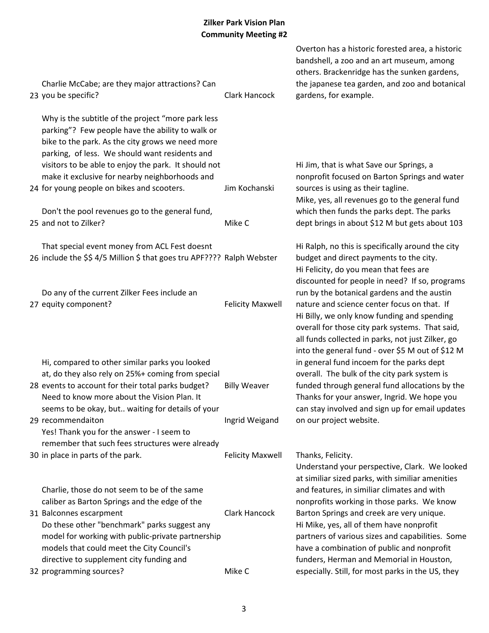| Charlie McCabe; are they major attractions? Can<br>23 you be specific?                                                                                                                                                                                                                                                                                               | Clark Hancock                         | Overton has a historic forested area, a historic<br>bandshell, a zoo and an art museum, among<br>others. Brackenridge has the sunken gardens,<br>the japanese tea garden, and zoo and botanical<br>gardens, for example.                                                                              |
|----------------------------------------------------------------------------------------------------------------------------------------------------------------------------------------------------------------------------------------------------------------------------------------------------------------------------------------------------------------------|---------------------------------------|-------------------------------------------------------------------------------------------------------------------------------------------------------------------------------------------------------------------------------------------------------------------------------------------------------|
| Why is the subtitle of the project "more park less<br>parking"? Few people have the ability to walk or<br>bike to the park. As the city grows we need more<br>parking, of less. We should want residents and<br>visitors to be able to enjoy the park. It should not<br>make it exclusive for nearby neighborhoods and<br>24 for young people on bikes and scooters. | Jim Kochanski                         | Hi Jim, that is what Save our Springs, a<br>nonprofit focused on Barton Springs and water<br>sources is using as their tagline.<br>Mike, yes, all revenues go to the general fund                                                                                                                     |
| Don't the pool revenues go to the general fund,<br>25 and not to Zilker?                                                                                                                                                                                                                                                                                             | Mike C                                | which then funds the parks dept. The parks<br>dept brings in about \$12 M but gets about 103                                                                                                                                                                                                          |
| That special event money from ACL Fest doesnt<br>26 include the \$\$4/5 Million \$ that goes tru APF???? Ralph Webster                                                                                                                                                                                                                                               |                                       | Hi Ralph, no this is specifically around the city<br>budget and direct payments to the city.<br>Hi Felicity, do you mean that fees are<br>discounted for people in need? If so, programs                                                                                                              |
| Do any of the current Zilker Fees include an<br>27 equity component?                                                                                                                                                                                                                                                                                                 | <b>Felicity Maxwell</b>               | run by the botanical gardens and the austin<br>nature and science center focus on that. If<br>Hi Billy, we only know funding and spending<br>overall for those city park systems. That said,<br>all funds collected in parks, not just Zilker, go<br>into the general fund - over \$5 M out of \$12 M |
| Hi, compared to other similar parks you looked<br>at, do they also rely on 25%+ coming from special<br>28 events to account for their total parks budget?<br>Need to know more about the Vision Plan. It<br>seems to be okay, but waiting for details of your<br>29 recommendaiton                                                                                   | <b>Billy Weaver</b><br>Ingrid Weigand | in general fund incoem for the parks dept<br>overall. The bulk of the city park system is<br>funded through general fund allocations by the<br>Thanks for your answer, Ingrid. We hope you<br>can stay involved and sign up for email updates<br>on our project website.                              |
| Yes! Thank you for the answer - I seem to                                                                                                                                                                                                                                                                                                                            |                                       |                                                                                                                                                                                                                                                                                                       |
| remember that such fees structures were already<br>30 in place in parts of the park.                                                                                                                                                                                                                                                                                 | <b>Felicity Maxwell</b>               | Thanks, Felicity.<br>Understand your perspective, Clark. We looked<br>at similiar sized parks, with similiar amenities                                                                                                                                                                                |
| Charlie, those do not seem to be of the same<br>caliber as Barton Springs and the edge of the<br>31 Balconnes escarpment<br>Do these other "benchmark" parks suggest any                                                                                                                                                                                             | Clark Hancock                         | and features, in similiar climates and with<br>nonprofits working in those parks. We know<br>Barton Springs and creek are very unique.<br>Hi Mike, yes, all of them have nonprofit                                                                                                                    |
| model for working with public-private partnership<br>models that could meet the City Council's<br>directive to supplement city funding and<br>32 programming sources?                                                                                                                                                                                                | Mike C                                | partners of various sizes and capabilities. Some<br>have a combination of public and nonprofit<br>funders, Herman and Memorial in Houston,<br>especially. Still, for most parks in the US, they                                                                                                       |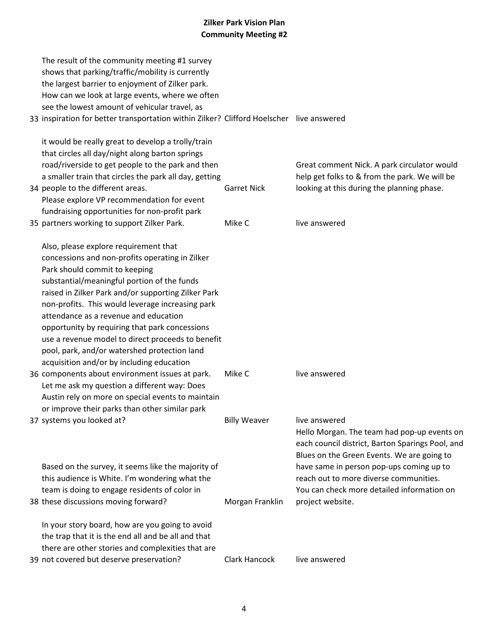| The result of the community meeting #1 survey<br>shows that parking/traffic/mobility is currently<br>the largest barrier to enjoyment of Zilker park. |                     |                                                                                              |
|-------------------------------------------------------------------------------------------------------------------------------------------------------|---------------------|----------------------------------------------------------------------------------------------|
| How can we look at large events, where we often                                                                                                       |                     |                                                                                              |
| see the lowest amount of vehicular travel, as                                                                                                         |                     |                                                                                              |
| 33 inspiration for better transportation within Zilker? Clifford Hoelscher live answered                                                              |                     |                                                                                              |
| it would be really great to develop a trolly/train                                                                                                    |                     |                                                                                              |
| that circles all day/night along barton springs                                                                                                       |                     |                                                                                              |
| road/riverside to get people to the park and then<br>a smaller train that circles the park all day, getting                                           |                     | Great comment Nick. A park circulator would<br>help get folks to & from the park. We will be |
| 34 people to the different areas.                                                                                                                     | <b>Garret Nick</b>  | looking at this during the planning phase.                                                   |
| Please explore VP recommendation for event                                                                                                            |                     |                                                                                              |
| fundraising opportunities for non-profit park                                                                                                         |                     |                                                                                              |
| 35 partners working to support Zilker Park.                                                                                                           | Mike C              | live answered                                                                                |
| Also, please explore requirement that                                                                                                                 |                     |                                                                                              |
| concessions and non-profits operating in Zilker                                                                                                       |                     |                                                                                              |
| Park should commit to keeping                                                                                                                         |                     |                                                                                              |
| substantial/meaningful portion of the funds                                                                                                           |                     |                                                                                              |
| raised in Zilker Park and/or supporting Zilker Park<br>non-profits. This would leverage increasing park                                               |                     |                                                                                              |
| attendance as a revenue and education                                                                                                                 |                     |                                                                                              |
| opportunity by requiring that park concessions                                                                                                        |                     |                                                                                              |
| use a revenue model to direct proceeds to benefit                                                                                                     |                     |                                                                                              |
| pool, park, and/or watershed protection land                                                                                                          |                     |                                                                                              |
| acquisition and/or by including education                                                                                                             |                     |                                                                                              |
| 36 components about environment issues at park.                                                                                                       | Mike C              | live answered                                                                                |
| Let me ask my question a different way: Does                                                                                                          |                     |                                                                                              |
| Austin rely on more on special events to maintain                                                                                                     |                     |                                                                                              |
| or improve their parks than other similar park                                                                                                        |                     |                                                                                              |
| 37 systems you looked at?                                                                                                                             | <b>Billy Weaver</b> | live answered<br>Hello Morgan. The team had pop-up events on                                 |
|                                                                                                                                                       |                     | each council district, Barton Sparings Pool, and                                             |
|                                                                                                                                                       |                     | Blues on the Green Events. We are going to                                                   |
| Based on the survey, it seems like the majority of                                                                                                    |                     | have same in person pop-ups coming up to                                                     |
| this audience is White. I'm wondering what the                                                                                                        |                     | reach out to more diverse communities.                                                       |
| team is doing to engage residents of color in                                                                                                         |                     | You can check more detailed information on                                                   |
| 38 these discussions moving forward?                                                                                                                  | Morgan Franklin     | project website.                                                                             |
| In your story board, how are you going to avoid                                                                                                       |                     |                                                                                              |
| the trap that it is the end all and be all and that                                                                                                   |                     |                                                                                              |
| there are other stories and complexities that are                                                                                                     |                     |                                                                                              |
| 39 not covered but deserve preservation?                                                                                                              | Clark Hancock       | live answered                                                                                |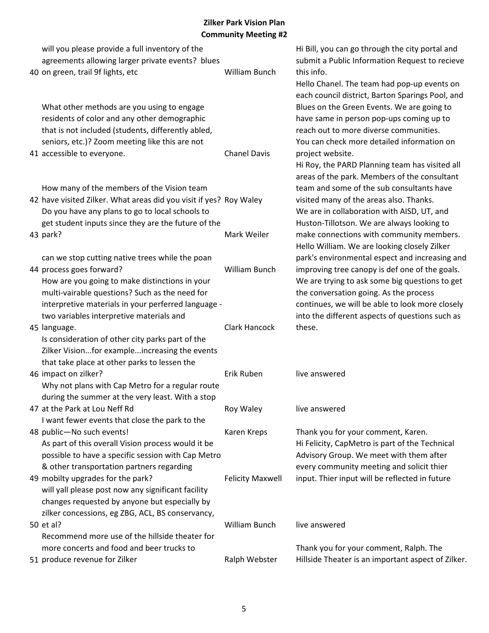| will you please provide a full inventory of the<br>agreements allowing larger private events? blues |                         | Hi Bill, you can go through the city portal and<br>submit a Public Information Request to recieve |
|-----------------------------------------------------------------------------------------------------|-------------------------|---------------------------------------------------------------------------------------------------|
| 40 on green, trail 9f lights, etc                                                                   | William Bunch           | this info.                                                                                        |
|                                                                                                     |                         | Hello Chanel. The team had pop-up events on                                                       |
|                                                                                                     |                         | each council district, Barton Sparings Pool, and                                                  |
| What other methods are you using to engage                                                          |                         | Blues on the Green Events. We are going to                                                        |
| residents of color and any other demographic                                                        |                         | have same in person pop-ups coming up to                                                          |
| that is not included (students, differently abled,                                                  |                         | reach out to more diverse communities.                                                            |
| seniors, etc.)? Zoom meeting like this are not                                                      |                         | You can check more detailed information on                                                        |
| 41 accessible to everyone.                                                                          | <b>Chanel Davis</b>     | project website.                                                                                  |
|                                                                                                     |                         | Hi Roy, the PARD Planning team has visited all<br>areas of the park. Members of the consultant    |
| How many of the members of the Vision team                                                          |                         | team and some of the sub consultants have                                                         |
| 42 have visited Zilker. What areas did you visit if yes? Roy Waley                                  |                         | visited many of the areas also. Thanks.                                                           |
| Do you have any plans to go to local schools to                                                     |                         | We are in collaboration with AISD, UT, and                                                        |
| get student inputs since they are the future of the                                                 |                         | Huston-Tillotson. We are always looking to                                                        |
| 43 park?                                                                                            | Mark Weiler             | make connections with community members.                                                          |
|                                                                                                     |                         | Hello William. We are looking closely Zilker                                                      |
| can we stop cutting native trees while the poan                                                     |                         | park's environmental espect and increasing and                                                    |
| 44 process goes forward?                                                                            | William Bunch           | improving tree canopy is def one of the goals.                                                    |
| How are you going to make distinctions in your                                                      |                         | We are trying to ask some big questions to get                                                    |
| multi-vairable questions? Such as the need for                                                      |                         | the conversation going. As the process                                                            |
| interpretive materials in your perferred language -                                                 |                         | continues, we will be able to look more closely                                                   |
| two variables interpretive materials and                                                            |                         | into the different aspects of questions such as                                                   |
| 45 language.                                                                                        | Clark Hancock           | these.                                                                                            |
| Is consideration of other city parks part of the                                                    |                         |                                                                                                   |
| Zilker Visionfor exampleincreasing the events                                                       |                         |                                                                                                   |
| that take place at other parks to lessen the                                                        |                         |                                                                                                   |
| 46 impact on zilker?                                                                                | Erik Ruben              | live answered                                                                                     |
| Why not plans with Cap Metro for a regular route                                                    |                         |                                                                                                   |
| during the summer at the very least. With a stop                                                    |                         |                                                                                                   |
| 47 at the Park at Lou Neff Rd                                                                       | Roy Waley               | live answered                                                                                     |
| I want fewer events that close the park to the                                                      |                         |                                                                                                   |
| 48 public-No such events!                                                                           | Karen Kreps             | Thank you for your comment, Karen.                                                                |
| As part of this overall Vision process would it be                                                  |                         | Hi Felicity, CapMetro is part of the Technical                                                    |
| possible to have a specific session with Cap Metro                                                  |                         | Advisory Group. We meet with them after                                                           |
| & other transportation partners regarding                                                           |                         | every community meeting and solicit thier                                                         |
| 49 mobilty upgrades for the park?                                                                   | <b>Felicity Maxwell</b> | input. Thier input will be reflected in future                                                    |
| will yall please post now any significant facility                                                  |                         |                                                                                                   |
| changes requested by anyone but especially by                                                       |                         |                                                                                                   |
| zilker concessions, eg ZBG, ACL, BS conservancy,                                                    | William Bunch           | live answered                                                                                     |
| 50 et al?<br>Recommend more use of the hillside theater for                                         |                         |                                                                                                   |
| more concerts and food and beer trucks to                                                           |                         | Thank you for your comment, Ralph. The                                                            |
| 51 produce revenue for Zilker                                                                       | Ralph Webster           | Hillside Theater is an important aspect of Zilker.                                                |
|                                                                                                     |                         |                                                                                                   |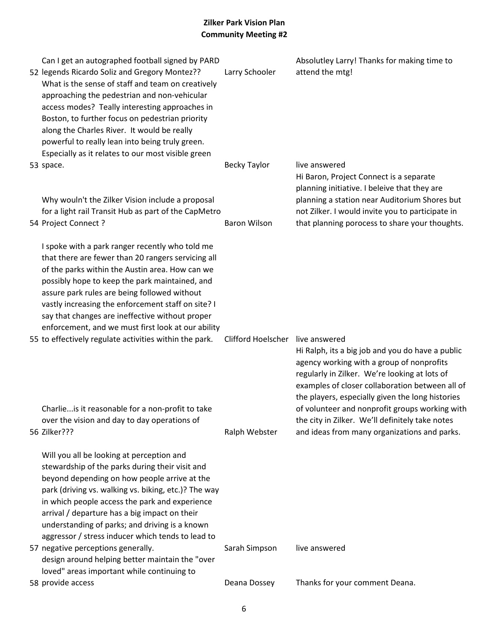| Can I get an autographed football signed by PARD<br>52 legends Ricardo Soliz and Gregory Montez??<br>What is the sense of staff and team on creatively<br>approaching the pedestrian and non-vehicular<br>access modes? Teally interesting approaches in<br>Boston, to further focus on pedestrian priority<br>along the Charles River. It would be really<br>powerful to really lean into being truly green.<br>Especially as it relates to our most visible green | Larry Schooler                   | Absolutley Larry! Thanks for making time to<br>attend the mtg!                                                                                                                                                                                        |
|---------------------------------------------------------------------------------------------------------------------------------------------------------------------------------------------------------------------------------------------------------------------------------------------------------------------------------------------------------------------------------------------------------------------------------------------------------------------|----------------------------------|-------------------------------------------------------------------------------------------------------------------------------------------------------------------------------------------------------------------------------------------------------|
| 53 space.<br>Why wouln't the Zilker Vision include a proposal                                                                                                                                                                                                                                                                                                                                                                                                       | <b>Becky Taylor</b>              | live answered<br>Hi Baron, Project Connect is a separate<br>planning initiative. I beleive that they are<br>planning a station near Auditorium Shores but                                                                                             |
| for a light rail Transit Hub as part of the CapMetro<br>54 Project Connect ?                                                                                                                                                                                                                                                                                                                                                                                        | <b>Baron Wilson</b>              | not Zilker. I would invite you to participate in<br>that planning porocess to share your thoughts.                                                                                                                                                    |
| I spoke with a park ranger recently who told me<br>that there are fewer than 20 rangers servicing all<br>of the parks within the Austin area. How can we<br>possibly hope to keep the park maintained, and<br>assure park rules are being followed without<br>vastly increasing the enforcement staff on site? I<br>say that changes are ineffective without proper<br>enforcement, and we must first look at our ability                                           |                                  |                                                                                                                                                                                                                                                       |
| 55 to effectively regulate activities within the park.                                                                                                                                                                                                                                                                                                                                                                                                              | Clifford Hoelscher live answered | Hi Ralph, its a big job and you do have a public<br>agency working with a group of nonprofits<br>regularly in Zilker. We're looking at lots of<br>examples of closer collaboration between all of<br>the players, especially given the long histories |
| Charlie is it reasonable for a non-profit to take<br>over the vision and day to day operations of<br>56 Zilker???                                                                                                                                                                                                                                                                                                                                                   | Ralph Webster                    | of volunteer and nonprofit groups working with<br>the city in Zilker. We'll definitely take notes<br>and ideas from many organizations and parks.                                                                                                     |
| Will you all be looking at perception and<br>stewardship of the parks during their visit and<br>beyond depending on how people arrive at the<br>park (driving vs. walking vs. biking, etc.)? The way<br>in which people access the park and experience<br>arrival / departure has a big impact on their<br>understanding of parks; and driving is a known<br>aggressor / stress inducer which tends to lead to                                                      |                                  |                                                                                                                                                                                                                                                       |
| 57 negative perceptions generally.<br>design around helping better maintain the "over<br>loved" areas important while continuing to                                                                                                                                                                                                                                                                                                                                 | Sarah Simpson                    | live answered                                                                                                                                                                                                                                         |
| 58 provide access                                                                                                                                                                                                                                                                                                                                                                                                                                                   | Deana Dossey                     | Thanks for your comment Deana.                                                                                                                                                                                                                        |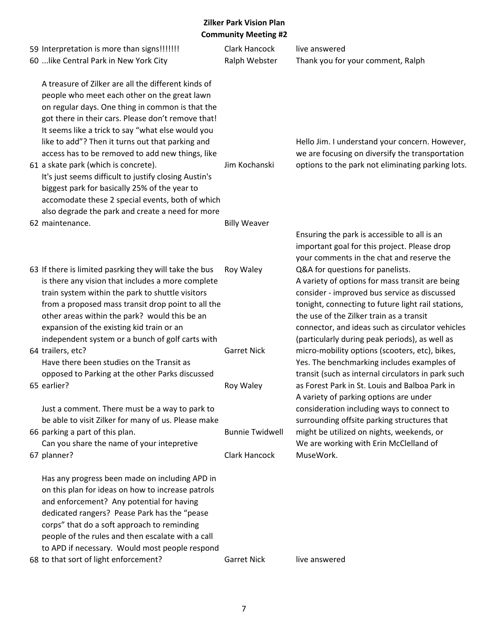| 59 Interpretation is more than signs!!!!!!!<br>60  like Central Park in New York City                                                                                                                                                                                                                                                                                                                                                                                                                                        | Clark Hancock<br>Ralph Webster | live answered<br>Thank you for your comment, Ralph                                                                                                                                                                                                                                                                                          |
|------------------------------------------------------------------------------------------------------------------------------------------------------------------------------------------------------------------------------------------------------------------------------------------------------------------------------------------------------------------------------------------------------------------------------------------------------------------------------------------------------------------------------|--------------------------------|---------------------------------------------------------------------------------------------------------------------------------------------------------------------------------------------------------------------------------------------------------------------------------------------------------------------------------------------|
| A treasure of Zilker are all the different kinds of<br>people who meet each other on the great lawn<br>on regular days. One thing in common is that the<br>got there in their cars. Please don't remove that!<br>It seems like a trick to say "what else would you<br>like to add"? Then it turns out that parking and<br>access has to be removed to add new things, like<br>61 a skate park (which is concrete).<br>It's just seems difficult to justify closing Austin's<br>biggest park for basically 25% of the year to | Jim Kochanski                  | Hello Jim. I understand your concern. However,<br>we are focusing on diversify the transportation<br>options to the park not eliminating parking lots.                                                                                                                                                                                      |
| accomodate these 2 special events, both of which                                                                                                                                                                                                                                                                                                                                                                                                                                                                             |                                |                                                                                                                                                                                                                                                                                                                                             |
| also degrade the park and create a need for more                                                                                                                                                                                                                                                                                                                                                                                                                                                                             |                                |                                                                                                                                                                                                                                                                                                                                             |
| 62 maintenance.                                                                                                                                                                                                                                                                                                                                                                                                                                                                                                              | <b>Billy Weaver</b>            | Ensuring the park is accessible to all is an<br>important goal for this project. Please drop<br>your comments in the chat and reserve the                                                                                                                                                                                                   |
| 63 If there is limited pasrking they will take the bus<br>is there any vision that includes a more complete<br>train system within the park to shuttle visitors<br>from a proposed mass transit drop point to all the<br>other areas within the park? would this be an<br>expansion of the existing kid train or an<br>independent system or a bunch of golf carts with                                                                                                                                                      | Roy Waley                      | Q&A for questions for panelists.<br>A variety of options for mass transit are being<br>consider - improved bus service as discussed<br>tonight, connecting to future light rail stations,<br>the use of the Zilker train as a transit<br>connector, and ideas such as circulator vehicles<br>(particularly during peak periods), as well as |
| 64 trailers, etc?<br>Have there been studies on the Transit as<br>opposed to Parking at the other Parks discussed                                                                                                                                                                                                                                                                                                                                                                                                            | <b>Garret Nick</b>             | micro-mobility options (scooters, etc), bikes,<br>Yes. The benchmarking includes examples of<br>transit (such as internal circulators in park such                                                                                                                                                                                          |
| 65 earlier?                                                                                                                                                                                                                                                                                                                                                                                                                                                                                                                  | Roy Waley                      | as Forest Park in St. Louis and Balboa Park in                                                                                                                                                                                                                                                                                              |
| Just a comment. There must be a way to park to<br>be able to visit Zilker for many of us. Please make                                                                                                                                                                                                                                                                                                                                                                                                                        |                                | A variety of parking options are under<br>consideration including ways to connect to<br>surrounding offsite parking structures that                                                                                                                                                                                                         |
| 66 parking a part of this plan.                                                                                                                                                                                                                                                                                                                                                                                                                                                                                              | <b>Bunnie Twidwell</b>         | might be utilized on nights, weekends, or                                                                                                                                                                                                                                                                                                   |
| Can you share the name of your intepretive<br>67 planner?                                                                                                                                                                                                                                                                                                                                                                                                                                                                    | <b>Clark Hancock</b>           | We are working with Erin McClelland of<br>MuseWork.                                                                                                                                                                                                                                                                                         |
| Has any progress been made on including APD in<br>on this plan for ideas on how to increase patrols<br>and enforcement? Any potential for having<br>dedicated rangers? Pease Park has the "pease<br>corps" that do a soft approach to reminding<br>people of the rules and then escalate with a call<br>to APD if necessary. Would most people respond<br>68 to that sort of light enforcement?                                                                                                                              | <b>Garret Nick</b>             | live answered                                                                                                                                                                                                                                                                                                                               |
|                                                                                                                                                                                                                                                                                                                                                                                                                                                                                                                              |                                |                                                                                                                                                                                                                                                                                                                                             |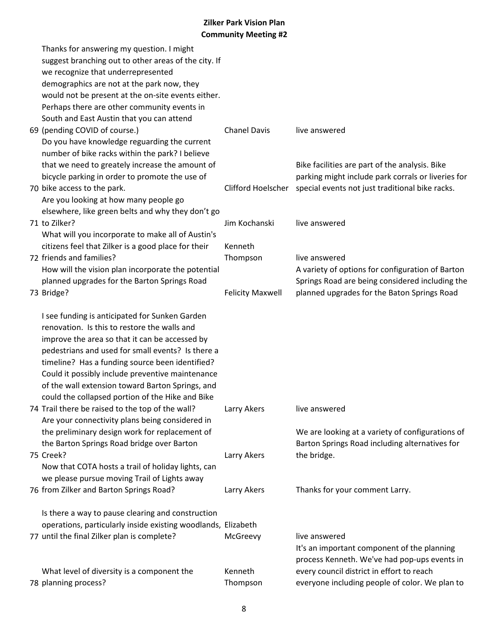| Thanks for answering my question. I might                     |                         |                                                                    |
|---------------------------------------------------------------|-------------------------|--------------------------------------------------------------------|
| suggest branching out to other areas of the city. If          |                         |                                                                    |
| we recognize that underrepresented                            |                         |                                                                    |
| demographics are not at the park now, they                    |                         |                                                                    |
| would not be present at the on-site events either.            |                         |                                                                    |
| Perhaps there are other community events in                   |                         |                                                                    |
| South and East Austin that you can attend                     |                         |                                                                    |
| 69 (pending COVID of course.)                                 | <b>Chanel Davis</b>     | live answered                                                      |
| Do you have knowledge reguarding the current                  |                         |                                                                    |
| number of bike racks within the park? I believe               |                         |                                                                    |
| that we need to greately increase the amount of               |                         | Bike facilities are part of the analysis. Bike                     |
| bicycle parking in order to promote the use of                |                         | parking might include park corrals or liveries for                 |
| 70 bike access to the park.                                   |                         | Clifford Hoelscher special events not just traditional bike racks. |
| Are you looking at how many people go                         |                         |                                                                    |
| elsewhere, like green belts and why they don't go             |                         |                                                                    |
| 71 to Zilker?                                                 | Jim Kochanski           | live answered                                                      |
| What will you incorporate to make all of Austin's             |                         |                                                                    |
| citizens feel that Zilker is a good place for their           | Kenneth                 |                                                                    |
| 72 friends and families?                                      | Thompson                | live answered                                                      |
| How will the vision plan incorporate the potential            |                         | A variety of options for configuration of Barton                   |
| planned upgrades for the Barton Springs Road                  |                         | Springs Road are being considered including the                    |
| 73 Bridge?                                                    | <b>Felicity Maxwell</b> | planned upgrades for the Baton Springs Road                        |
|                                                               |                         |                                                                    |
| I see funding is anticipated for Sunken Garden                |                         |                                                                    |
| renovation. Is this to restore the walls and                  |                         |                                                                    |
| improve the area so that it can be accessed by                |                         |                                                                    |
| pedestrians and used for small events? Is there a             |                         |                                                                    |
| timeline? Has a funding source been identified?               |                         |                                                                    |
| Could it possibly include preventive maintenance              |                         |                                                                    |
| of the wall extension toward Barton Springs, and              |                         |                                                                    |
| could the collapsed portion of the Hike and Bike              |                         |                                                                    |
| 74 Trail there be raised to the top of the wall?              | Larry Akers             | live answered                                                      |
| Are your connectivity plans being considered in               |                         |                                                                    |
| the preliminary design work for replacement of                |                         | We are looking at a variety of configurations of                   |
| the Barton Springs Road bridge over Barton                    |                         | Barton Springs Road including alternatives for                     |
| 75 Creek?                                                     | Larry Akers             | the bridge.                                                        |
| Now that COTA hosts a trail of holiday lights, can            |                         |                                                                    |
| we please pursue moving Trail of Lights away                  |                         |                                                                    |
| 76 from Zilker and Barton Springs Road?                       | Larry Akers             | Thanks for your comment Larry.                                     |
|                                                               |                         |                                                                    |
| Is there a way to pause clearing and construction             |                         |                                                                    |
| operations, particularly inside existing woodlands, Elizabeth |                         |                                                                    |
| 77 until the final Zilker plan is complete?                   | McGreevy                | live answered                                                      |
|                                                               |                         | It's an important component of the planning                        |
|                                                               |                         | process Kenneth. We've had pop-ups events in                       |
| What level of diversity is a component the                    | Kenneth                 | every council district in effort to reach                          |
| 78 planning process?                                          | Thompson                | everyone including people of color. We plan to                     |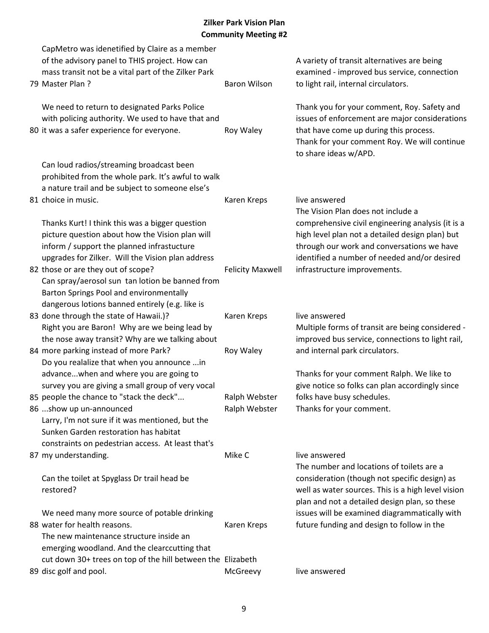| CapMetro was idenetified by Claire as a member<br>of the advisory panel to THIS project. How can<br>mass transit not be a vital part of the Zilker Park<br>79 Master Plan?                                            | <b>Baron Wilson</b>            | A variety of transit alternatives are being<br>examined - improved bus service, connection<br>to light rail, internal circulators.                                                                                                       |
|-----------------------------------------------------------------------------------------------------------------------------------------------------------------------------------------------------------------------|--------------------------------|------------------------------------------------------------------------------------------------------------------------------------------------------------------------------------------------------------------------------------------|
| We need to return to designated Parks Police<br>with policing authority. We used to have that and<br>80 it was a safer experience for everyone.                                                                       | Roy Waley                      | Thank you for your comment, Roy. Safety and<br>issues of enforcement are major considerations<br>that have come up during this process.<br>Thank for your comment Roy. We will continue<br>to share ideas w/APD.                         |
| Can loud radios/streaming broadcast been<br>prohibited from the whole park. It's awful to walk<br>a nature trail and be subject to someone else's<br>81 choice in music.                                              | Karen Kreps                    | live answered                                                                                                                                                                                                                            |
| Thanks Kurt! I think this was a bigger question<br>picture question about how the Vision plan will<br>inform / support the planned infrastucture<br>upgrades for Zilker. Will the Vision plan address                 |                                | The Vision Plan does not include a<br>comprehensive civil engineering analysis (it is a<br>high level plan not a detailed design plan) but<br>through our work and conversations we have<br>identified a number of needed and/or desired |
| 82 those or are they out of scope?<br>Can spray/aerosol sun tan lotion be banned from<br>Barton Springs Pool and environmentally<br>dangerous lotions banned entirely (e.g. like is                                   | <b>Felicity Maxwell</b>        | infrastructure improvements.                                                                                                                                                                                                             |
| 83 done through the state of Hawaii.)?<br>Right you are Baron! Why are we being lead by<br>the nose away transit? Why are we talking about                                                                            | Karen Kreps                    | live answered<br>Multiple forms of transit are being considered -<br>improved bus service, connections to light rail,                                                                                                                    |
| 84 more parking instead of more Park?<br>Do you realalize that when you announce  in<br>advancewhen and where you are going to<br>survey you are giving a small group of very vocal                                   | Roy Waley                      | and internal park circulators.<br>Thanks for your comment Ralph. We like to<br>give notice so folks can plan accordingly since                                                                                                           |
| 85 people the chance to "stack the deck"<br>86 show up un-announced<br>Larry, I'm not sure if it was mentioned, but the<br>Sunken Garden restoration has habitat<br>constraints on pedestrian access. At least that's | Ralph Webster<br>Ralph Webster | folks have busy schedules.<br>Thanks for your comment.                                                                                                                                                                                   |
| 87 my understanding.<br>Can the toilet at Spyglass Dr trail head be                                                                                                                                                   | Mike C                         | live answered<br>The number and locations of toilets are a<br>consideration (though not specific design) as                                                                                                                              |
| restored?                                                                                                                                                                                                             |                                | well as water sources. This is a high level vision<br>plan and not a detailed design plan, so these                                                                                                                                      |
| We need many more source of potable drinking<br>88 water for health reasons.<br>The new maintenance structure inside an<br>emerging woodland. And the clearccutting that                                              | Karen Kreps                    | issues will be examined diagrammatically with<br>future funding and design to follow in the                                                                                                                                              |
| cut down 30+ trees on top of the hill between the Elizabeth<br>89 disc golf and pool.                                                                                                                                 | McGreevy                       | live answered                                                                                                                                                                                                                            |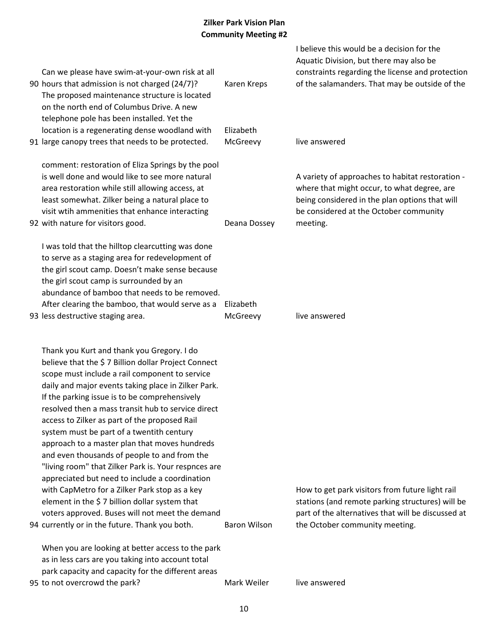| Can we please have swim-at-your-own risk at all<br>90 hours that admission is not charged (24/7)?<br>The proposed maintenance structure is located<br>on the north end of Columbus Drive. A new                                                                                                                                                                                                                                                                                                                                                                                                                                                                                                                                                                                                                                   | Karen Kreps           | I believe this would be a decision for the<br>Aquatic Division, but there may also be<br>constraints regarding the license and protection<br>of the salamanders. That may be outside of the             |
|-----------------------------------------------------------------------------------------------------------------------------------------------------------------------------------------------------------------------------------------------------------------------------------------------------------------------------------------------------------------------------------------------------------------------------------------------------------------------------------------------------------------------------------------------------------------------------------------------------------------------------------------------------------------------------------------------------------------------------------------------------------------------------------------------------------------------------------|-----------------------|---------------------------------------------------------------------------------------------------------------------------------------------------------------------------------------------------------|
| telephone pole has been installed. Yet the<br>location is a regenerating dense woodland with<br>91 large canopy trees that needs to be protected.                                                                                                                                                                                                                                                                                                                                                                                                                                                                                                                                                                                                                                                                                 | Elizabeth<br>McGreevy | live answered                                                                                                                                                                                           |
| comment: restoration of Eliza Springs by the pool<br>is well done and would like to see more natural<br>area restoration while still allowing access, at<br>least somewhat. Zilker being a natural place to<br>visit wtih ammenities that enhance interacting<br>92 with nature for visitors good.                                                                                                                                                                                                                                                                                                                                                                                                                                                                                                                                | Deana Dossey          | A variety of approaches to habitat restoration -<br>where that might occur, to what degree, are<br>being considered in the plan options that will<br>be considered at the October community<br>meeting. |
| I was told that the hilltop clearcutting was done<br>to serve as a staging area for redevelopment of<br>the girl scout camp. Doesn't make sense because<br>the girl scout camp is surrounded by an<br>abundance of bamboo that needs to be removed.<br>After clearing the bamboo, that would serve as a<br>93 less destructive staging area.                                                                                                                                                                                                                                                                                                                                                                                                                                                                                      | Elizabeth<br>McGreevy | live answered                                                                                                                                                                                           |
| Thank you Kurt and thank you Gregory. I do<br>believe that the \$7 Billion dollar Project Connect<br>scope must include a rail component to service<br>daily and major events taking place in Zilker Park.<br>If the parking issue is to be comprehensively<br>resolved then a mass transit hub to service direct<br>access to Zilker as part of the proposed Rail<br>system must be part of a twentith century<br>approach to a master plan that moves hundreds<br>and even thousands of people to and from the<br>"living room" that Zilker Park is. Your respnces are<br>appreciated but need to include a coordination<br>with CapMetro for a Zilker Park stop as a key<br>element in the \$7 billion dollar system that<br>voters approved. Buses will not meet the demand<br>94 currently or in the future. Thank you both. | <b>Baron Wilson</b>   | How to get park visitors from future light rail<br>stations (and remote parking structures) will be<br>part of the alternatives that will be discussed at<br>the October community meeting.             |
| When you are looking at better access to the park<br>as in less cars are you taking into account total<br>park capacity and capacity for the different areas                                                                                                                                                                                                                                                                                                                                                                                                                                                                                                                                                                                                                                                                      |                       |                                                                                                                                                                                                         |
| 95 to not overcrowd the park?                                                                                                                                                                                                                                                                                                                                                                                                                                                                                                                                                                                                                                                                                                                                                                                                     | Mark Weiler           | live answered                                                                                                                                                                                           |